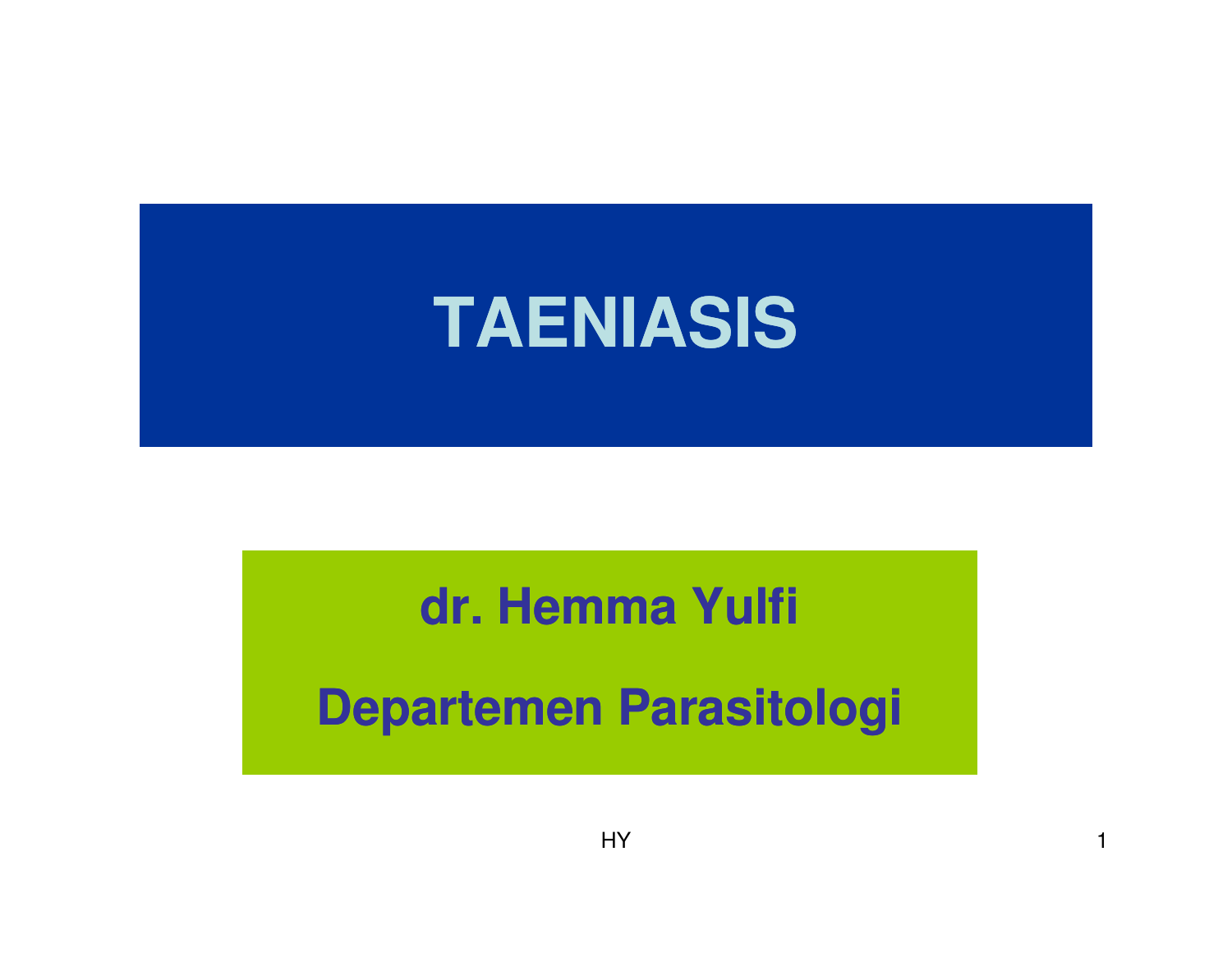

#### **dr. Hemma Yulfi**

**Departemen Parasitologi**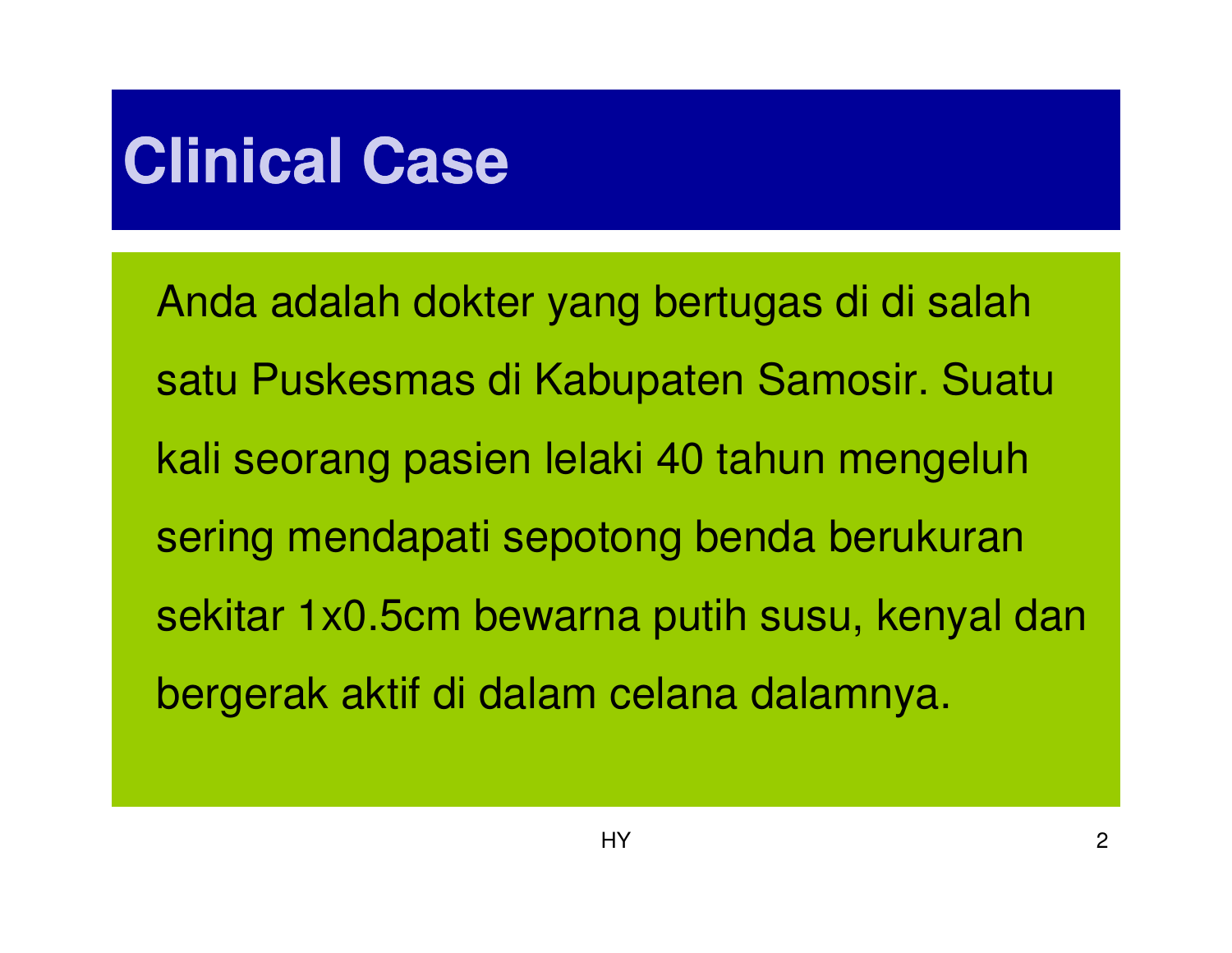# **Clinical Case**

Anda adalah dokter yang bertugas di di salahsatu Puskesmas di Kabupaten Samosir. Suatukali seorang pasien lelaki 40 tahun mengeluh sering mendapati sepotong benda berukuransekitar 1x0.5cm bewarna putih susu, kenyal danbergerak aktif di dalam celana dalamnya.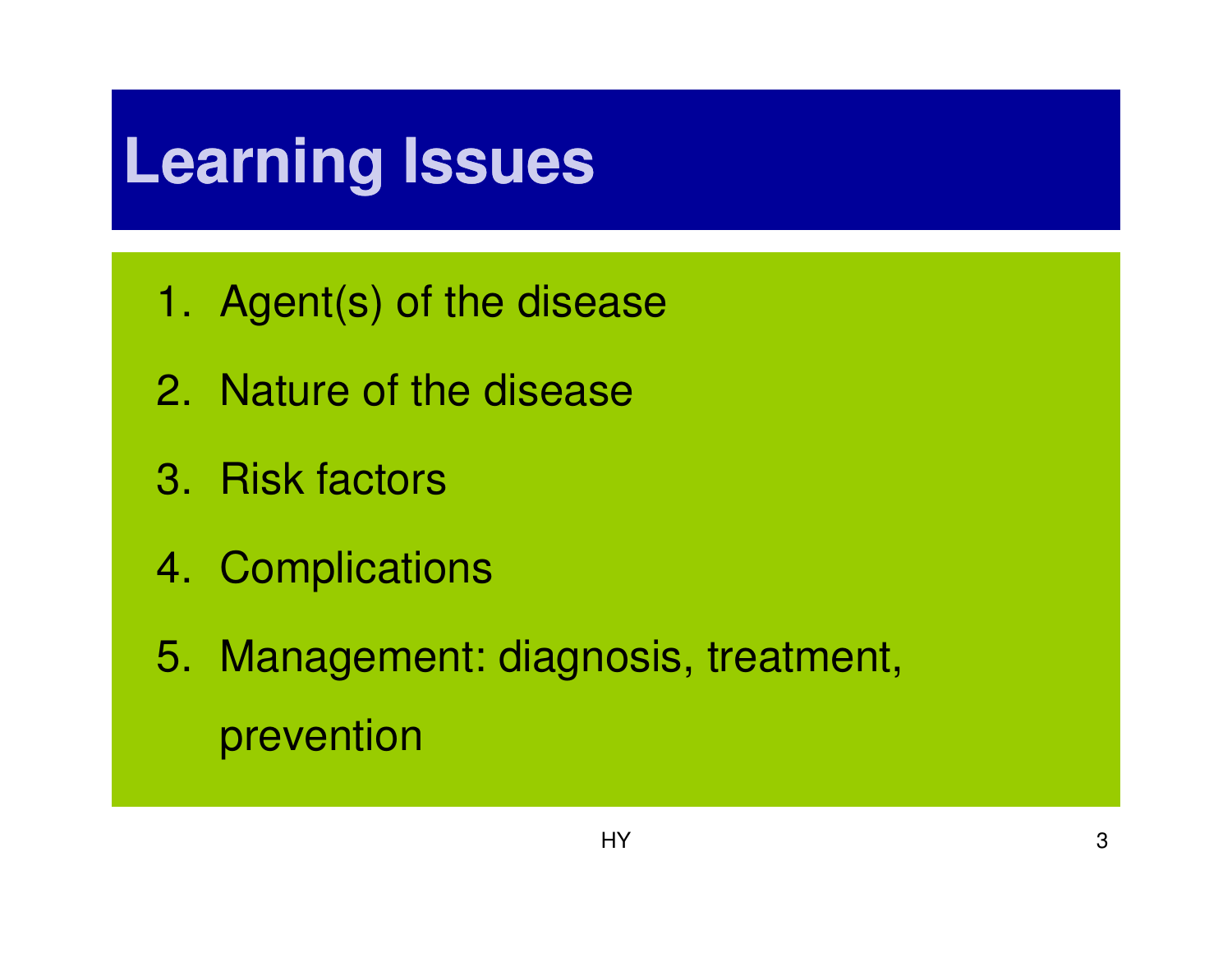# **Learning Issues**

- 1. Agent(s) of the disease
- 2. Nature of the disease
- 3. Risk factors
- 4. Complications

5. Management: diagnosis, treatment, prevention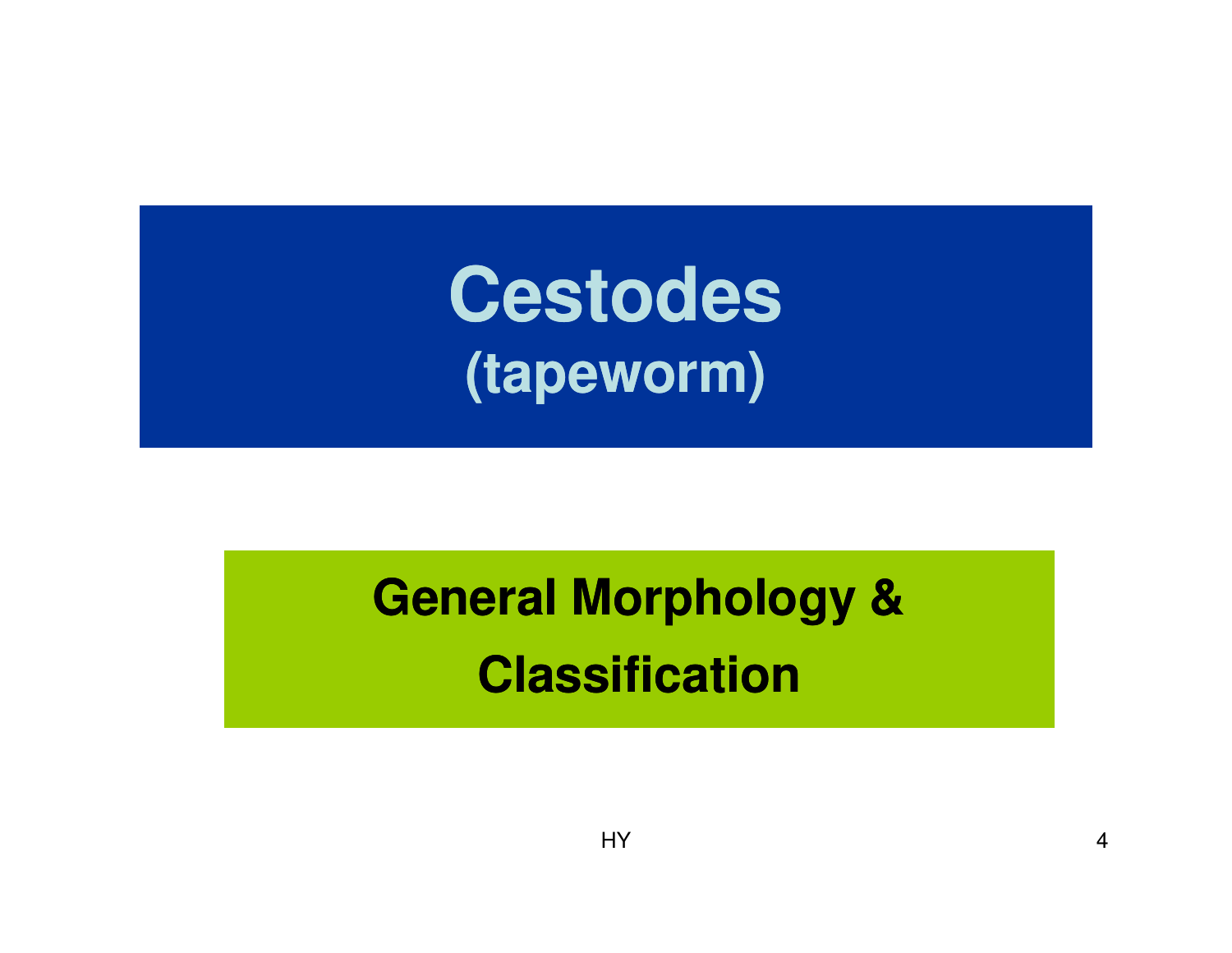**Cestodes(tapeworm)**

# **General Morphology & Classification**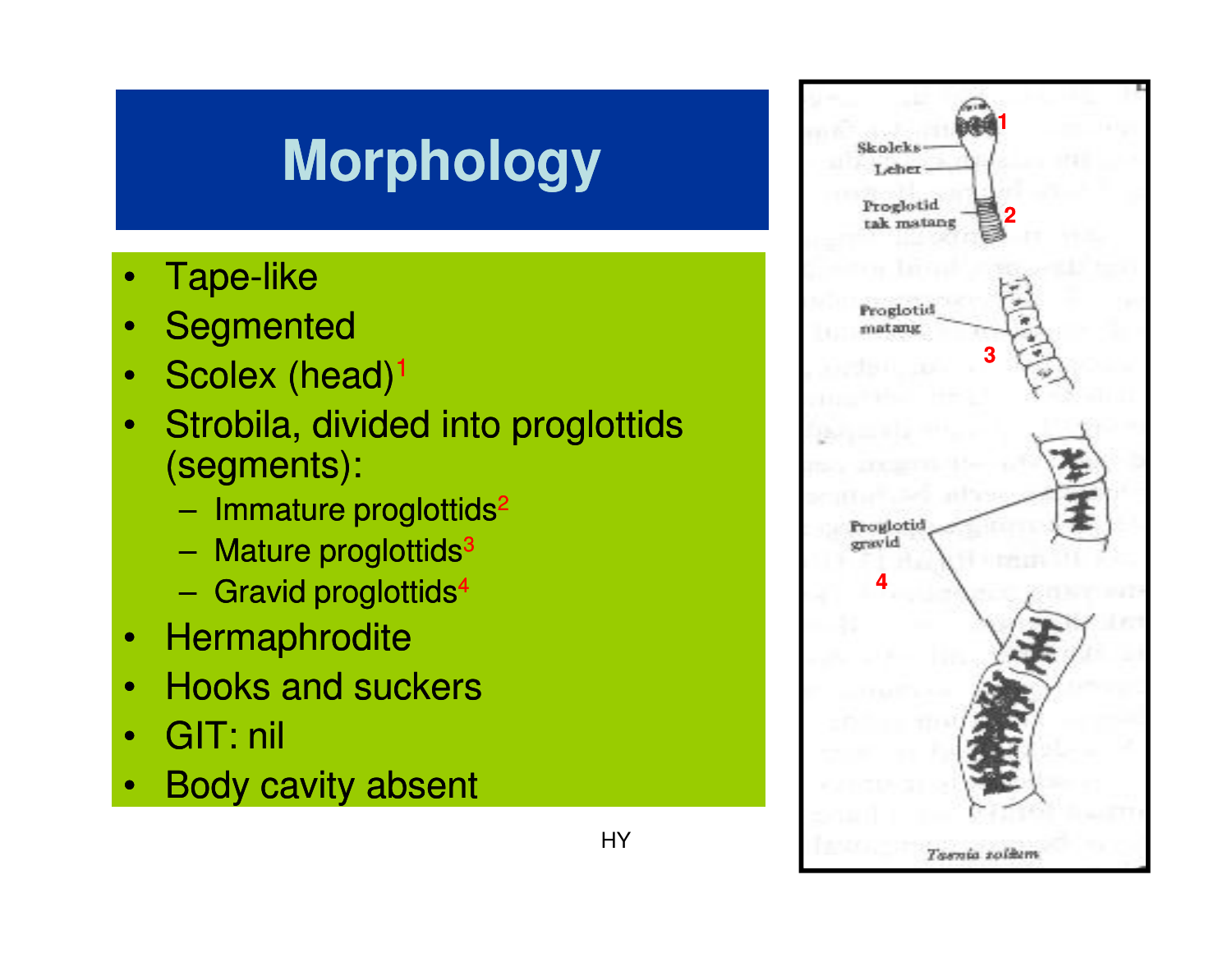## **Morphology**

- •Tape-like
- **Segmented** •
- Scolex (head)<sup>1</sup> •
- • Strobila, divided into proglottids (segments):
	- Immature proglottids<sup>2</sup>
	- –Mature proglottids<sup>3</sup>
	- –Gravid proglottids<sup>4</sup>
- •**Hermaphrodite**
- Hooks and suckers•
- •GIT: nil
- •Body cavity absent

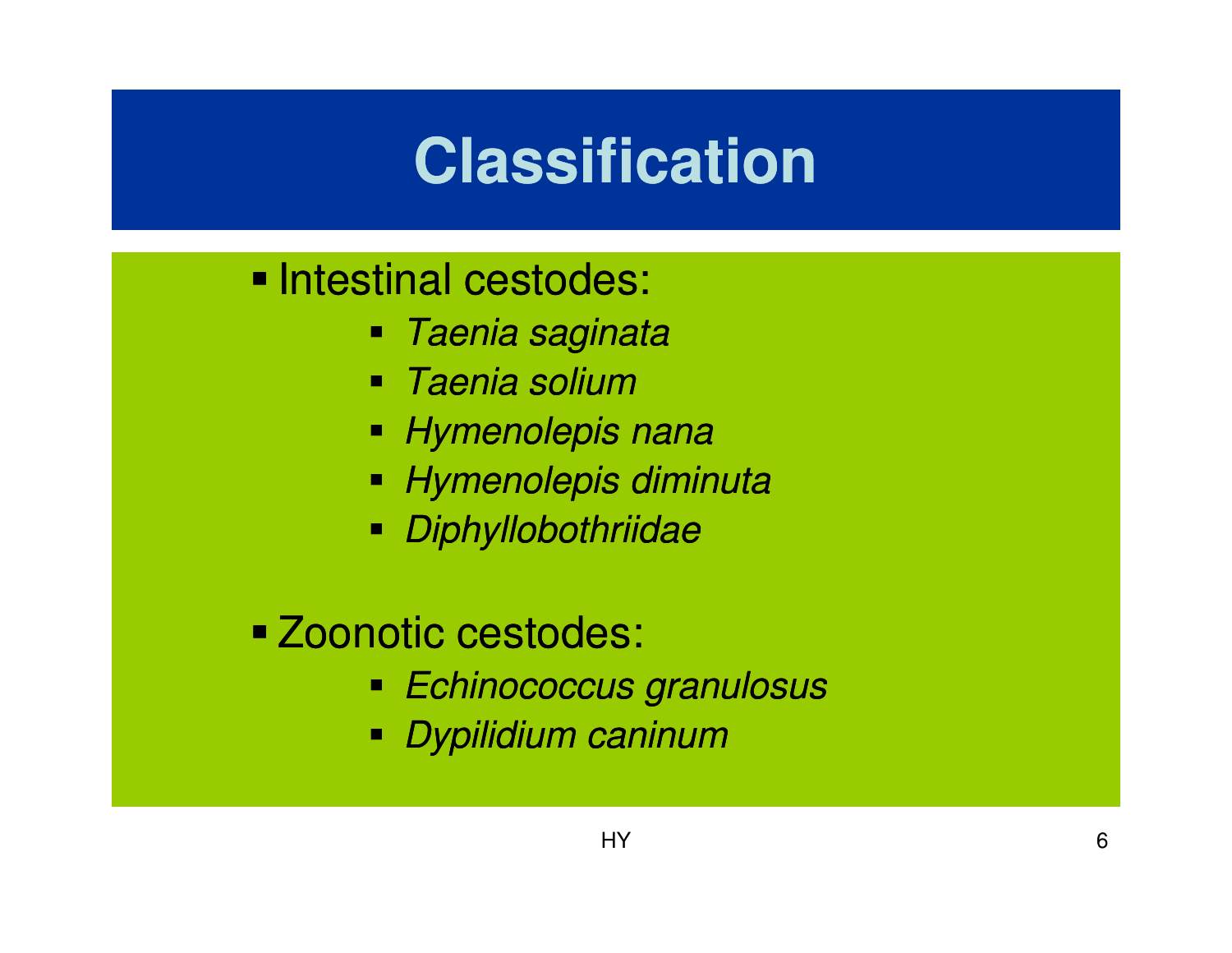# **Classification**

#### **Intestinal cestodes:**

- Taenia saginata
- Taenia solium
- Hymenolepis nana
- Hymenolepis diminuta
- Diphyllobothriidae

## Zoonotic cestodes:

- Echinococcus granulosus
- Dypilidium caninum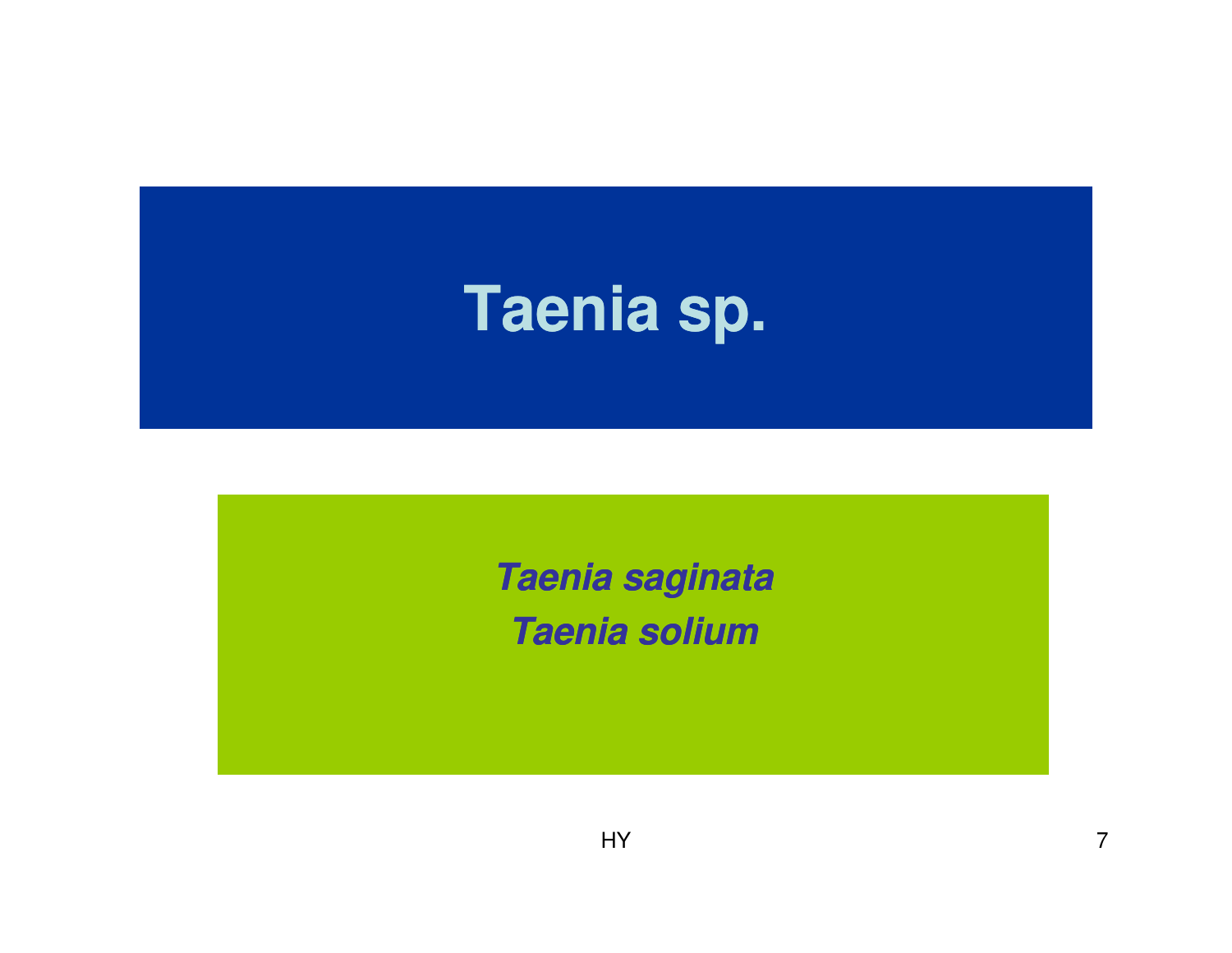# **Taenia sp.**

**Taenia saginataTaenia solium**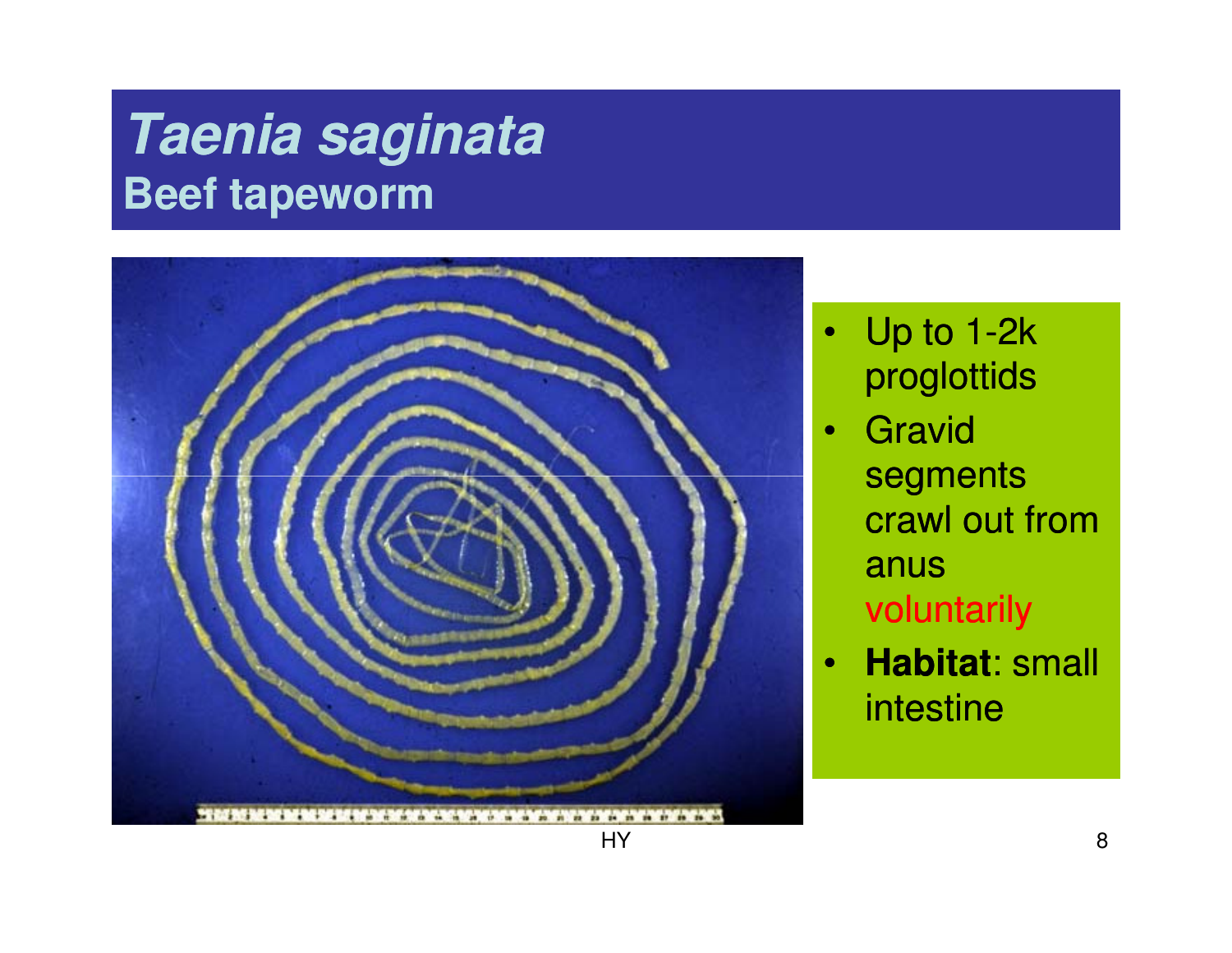## **Taenia saginataBeef tapeworm**



- Up to 1-2 $k$ proglottids
	- **Gravid** segments crawl out from anus voluntarily
- • **Habitat**: small intestine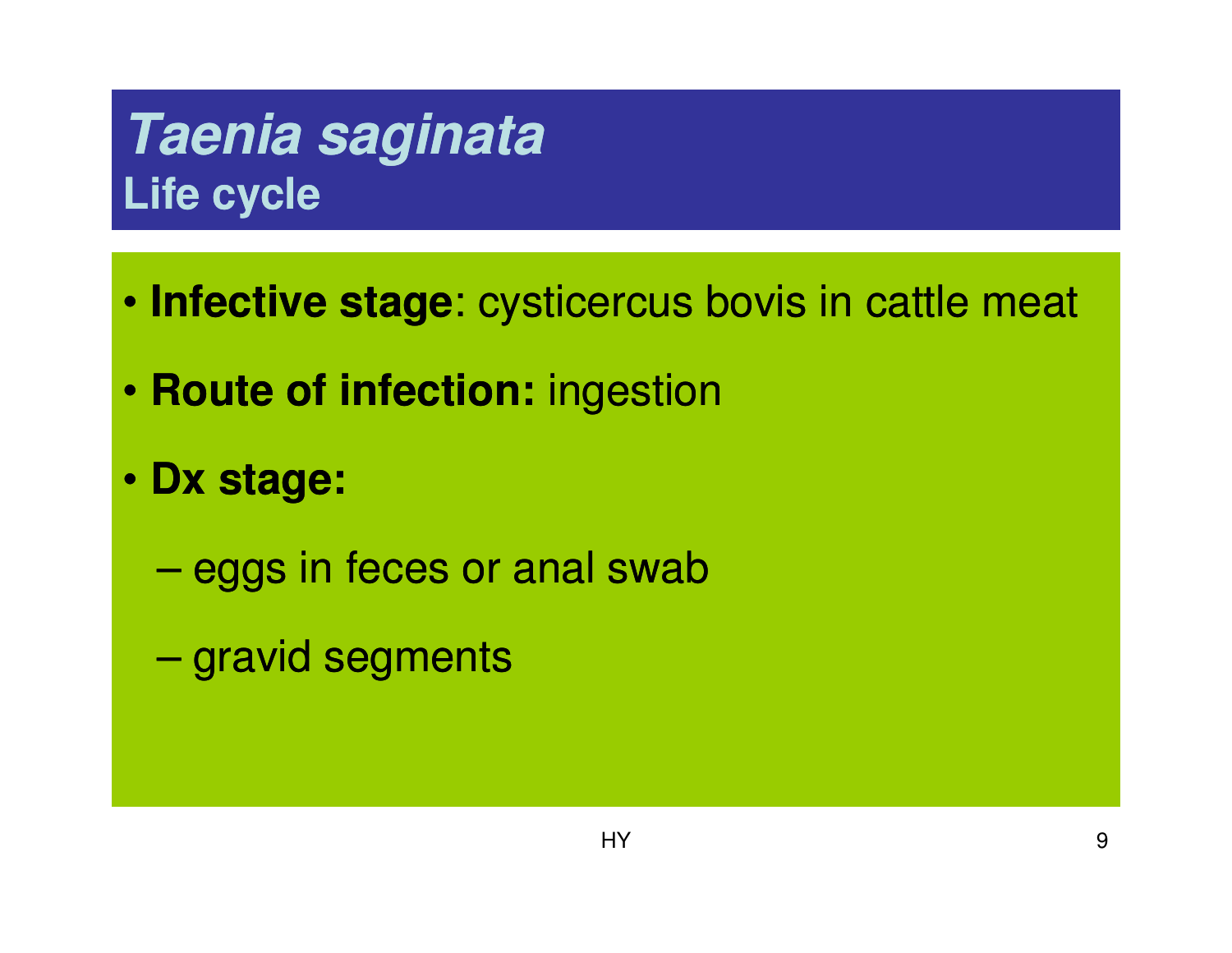## **Taenia saginataLife cycle**

- **Infective stage**: cysticercus bovis in cattle meat
- **Route of infection:** ingestion
- **Dx stage:** 
	- eggs in feces or anal swab
	- gravid segments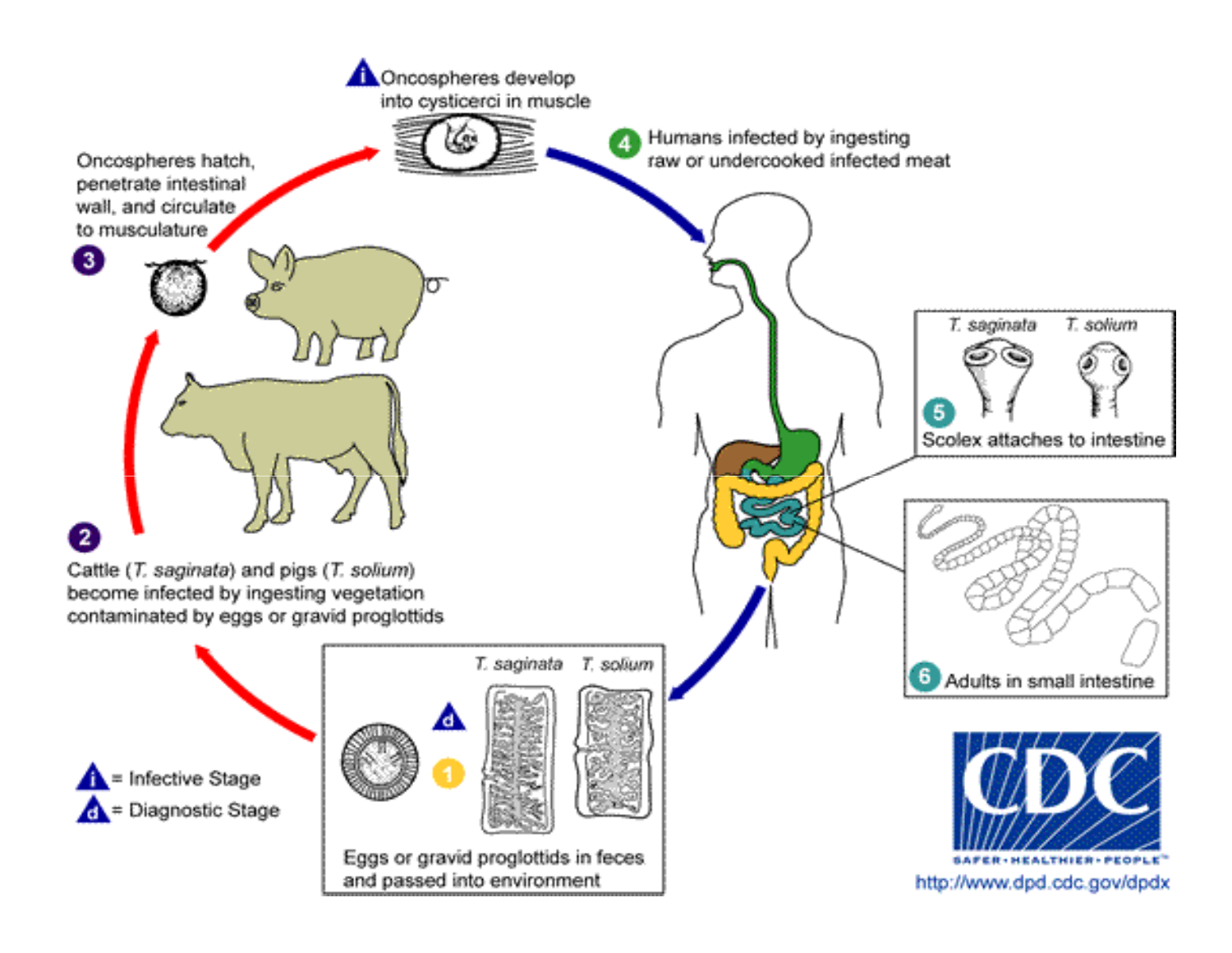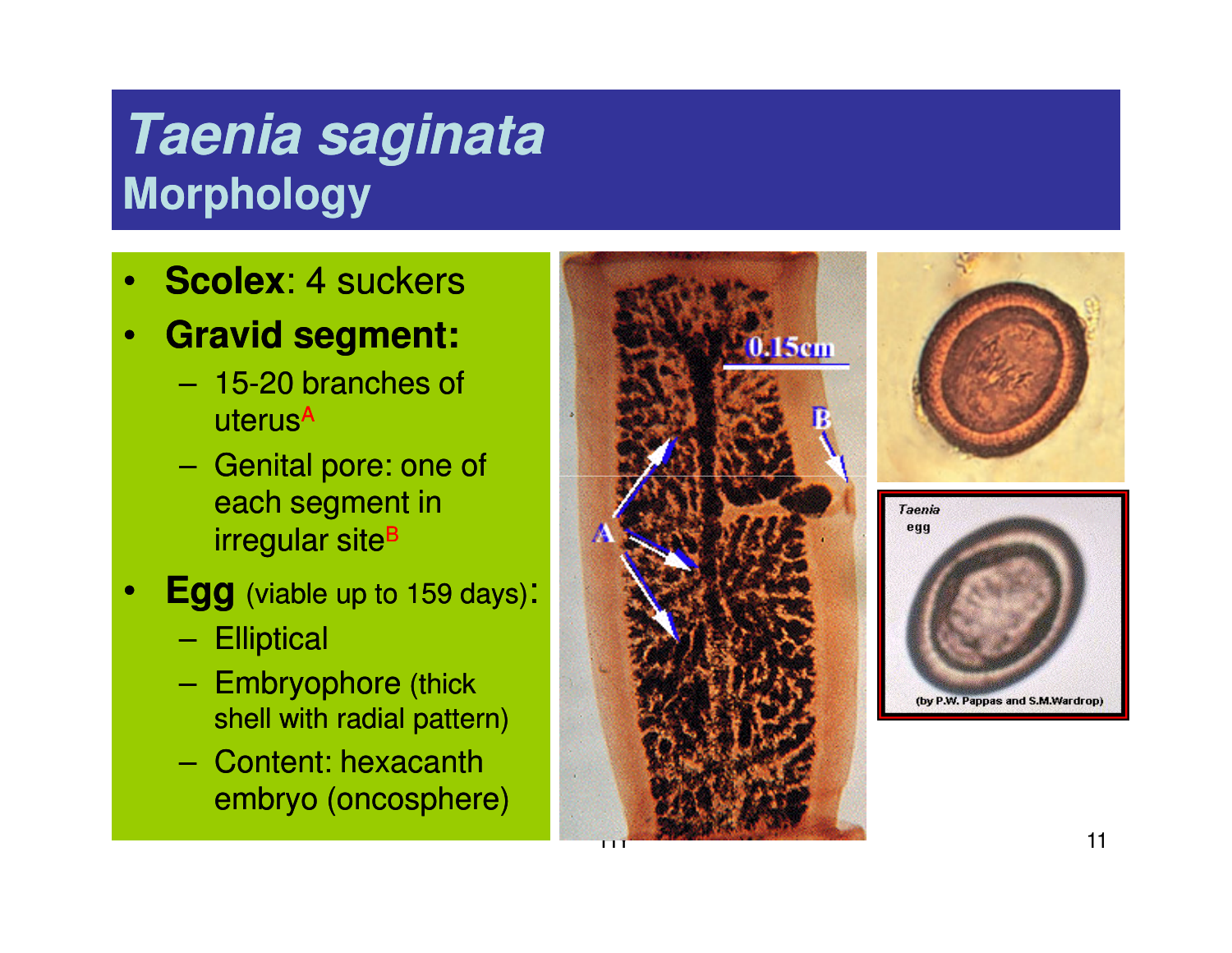## **Taenia saginataMorphology**

- •**Scolex**: 4 suckers
- $\bullet$  **Gravid segment:** 
	- 15-20 branches of uterus<sup>A</sup>
	- –- Genital pore: one of each segment in irregular site<sup>B</sup>
- • **Egg** (viable up to 159 days):
	- –**Elliptical**
	- Embryophore (thick shell with radial pattern)
	- – Content: hexacanthembryo (oncosphere)





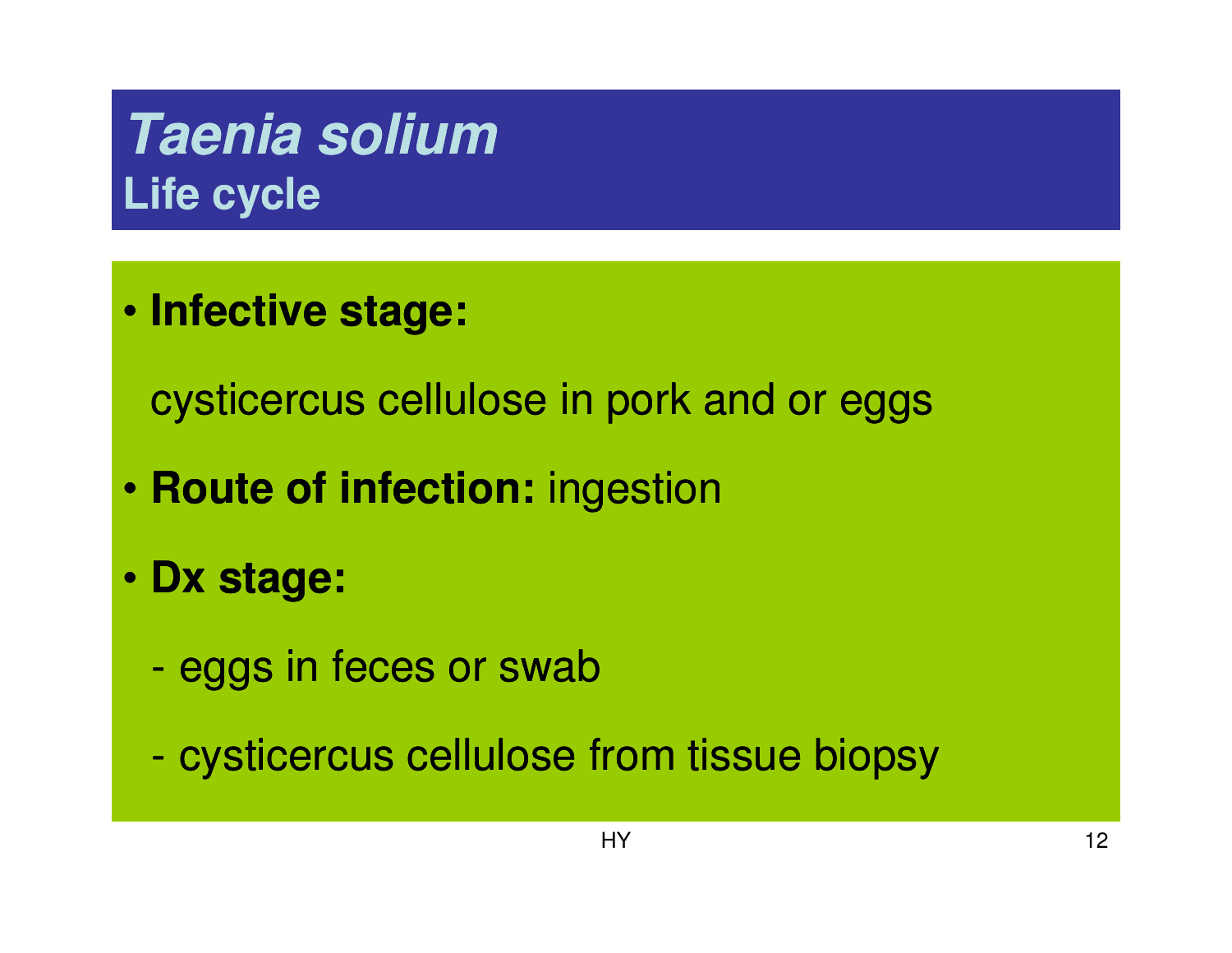## **Taenia soliumLife cycle**

• **Infective stage:** 

cysticercus cellulose in pork and or eggs

- **Route of infection:** ingestion
- **Dx stage:** 
	- eggs in feces or swab
	- cysticercus cellulose from tissue biopsy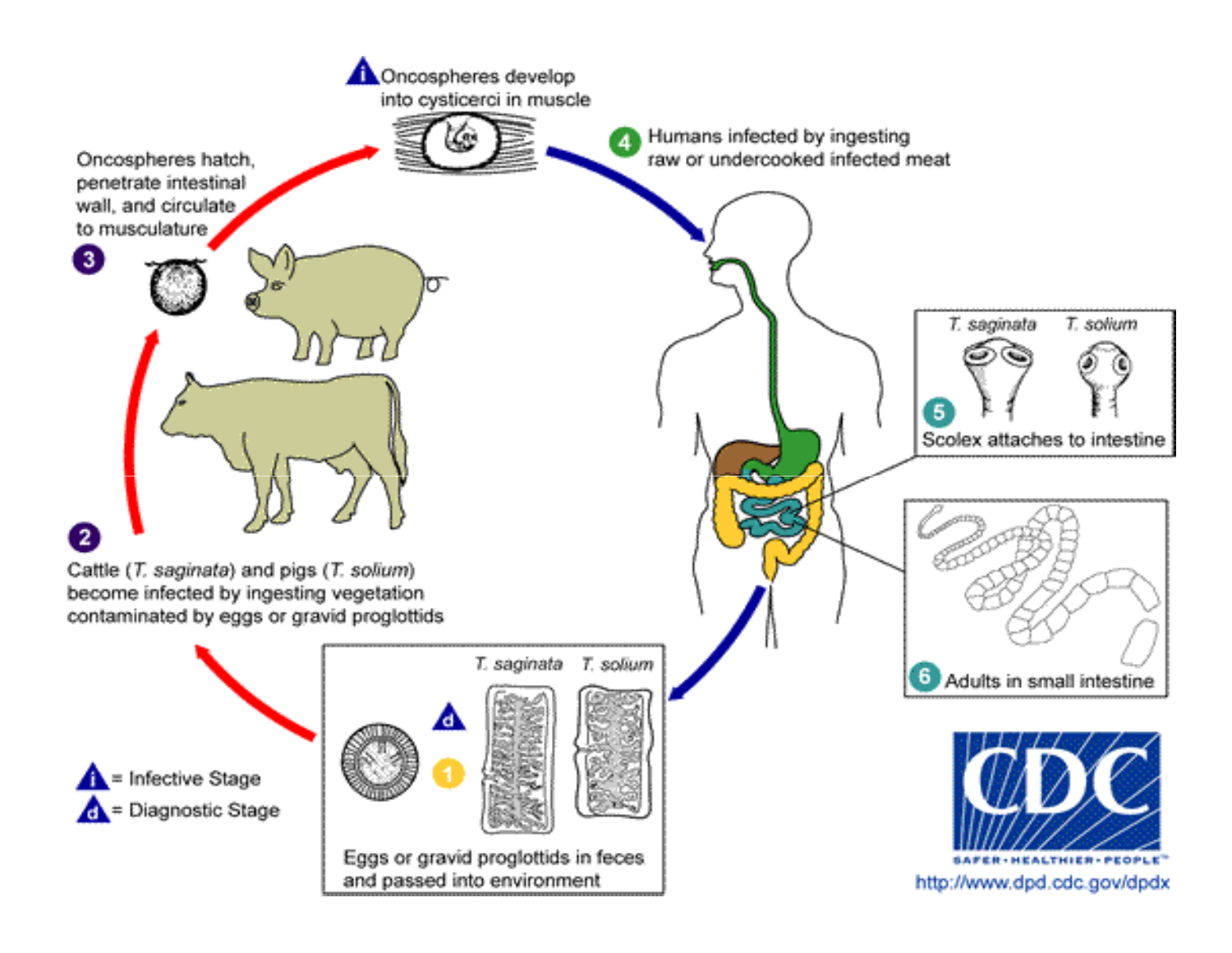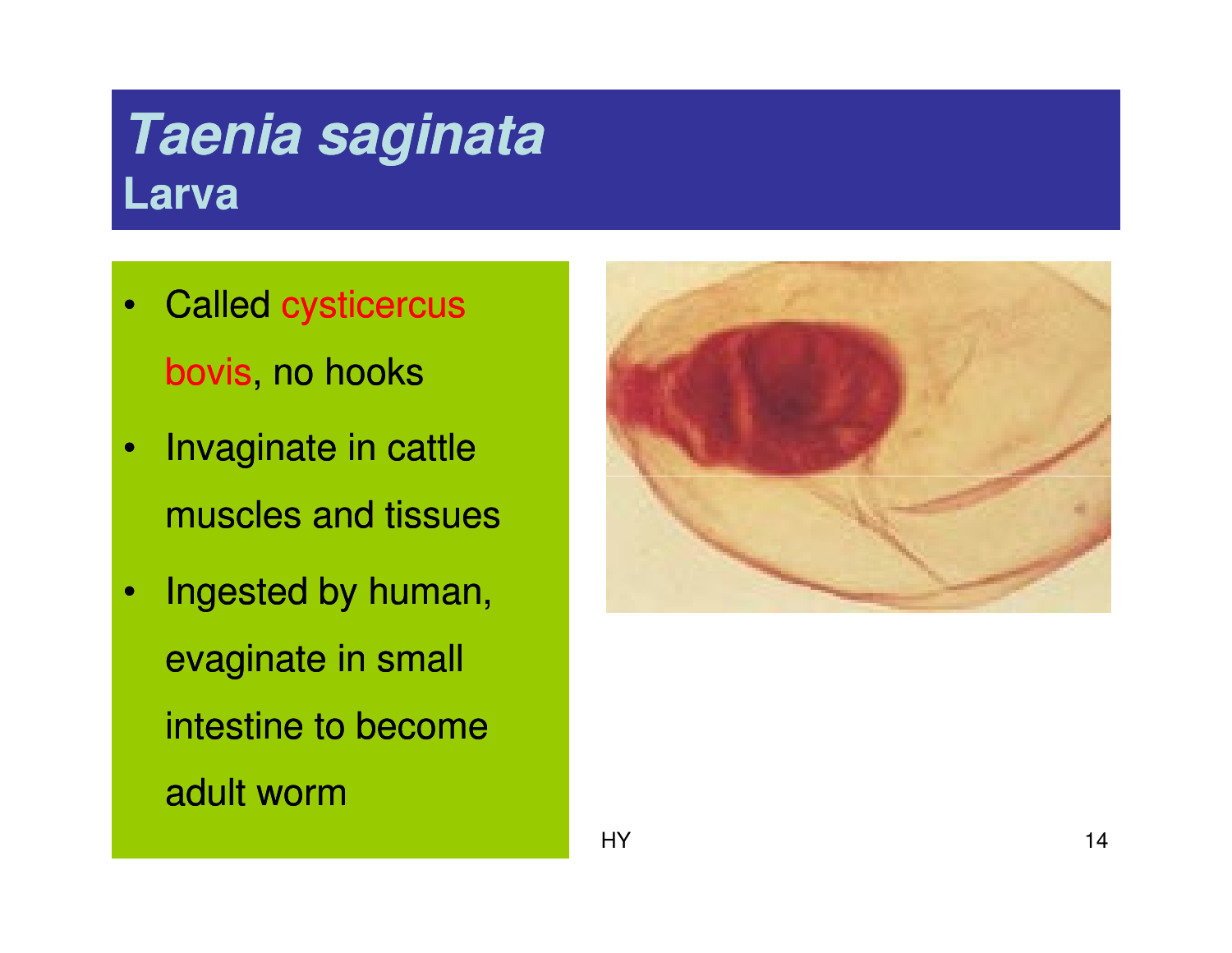## **Taenia saginataLarva**

- • Called cysticercusbovis, no hooks
- $\bullet$  Invaginate in cattle muscles and tissues
- $\bullet$  Ingested by human, evaginate in small intestine to become adult worm

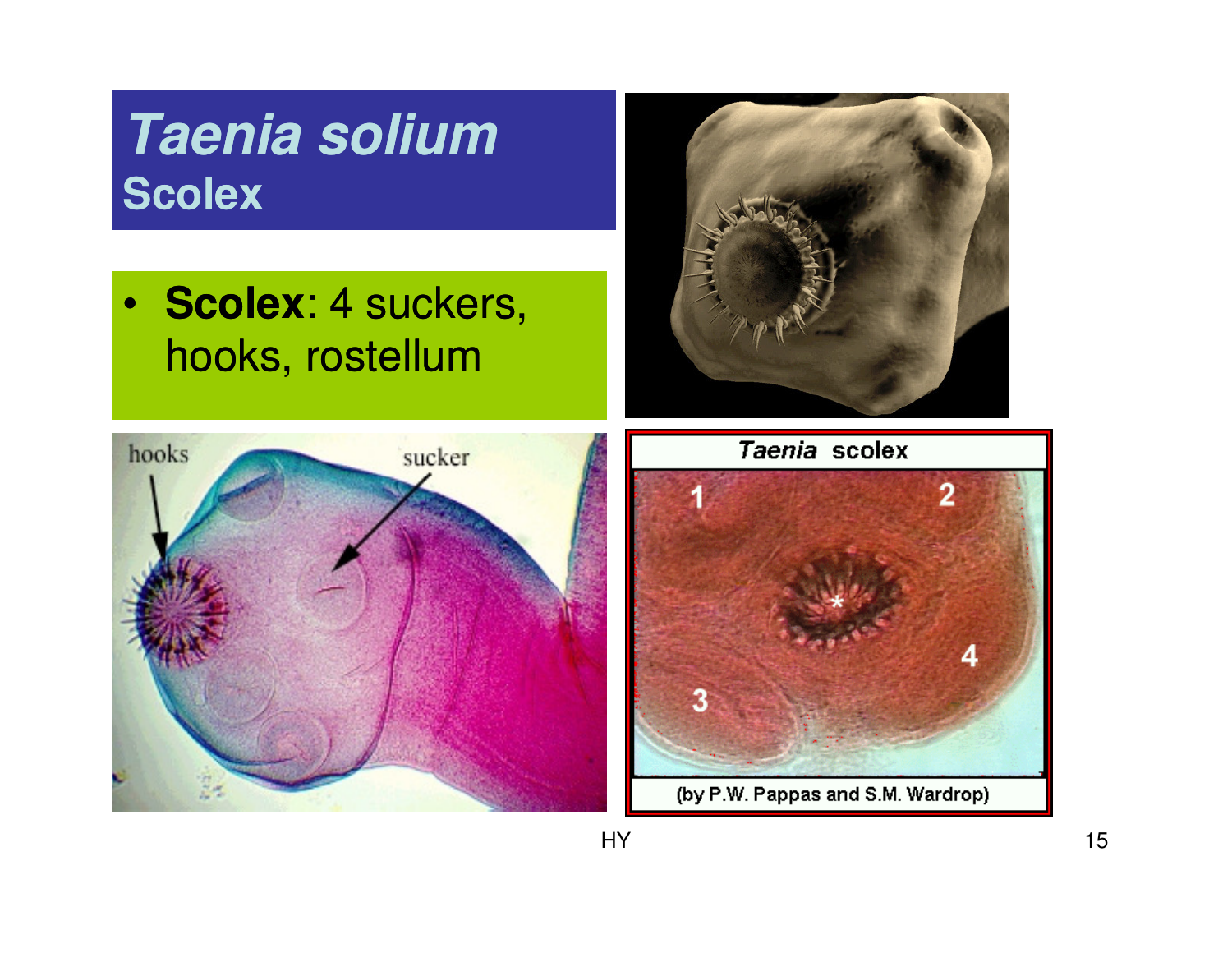## **Taenia soliumScolex**

• **Scolex**: 4 suckers, hooks, rostellum







(by P.W. Pappas and S.M. Wardrop)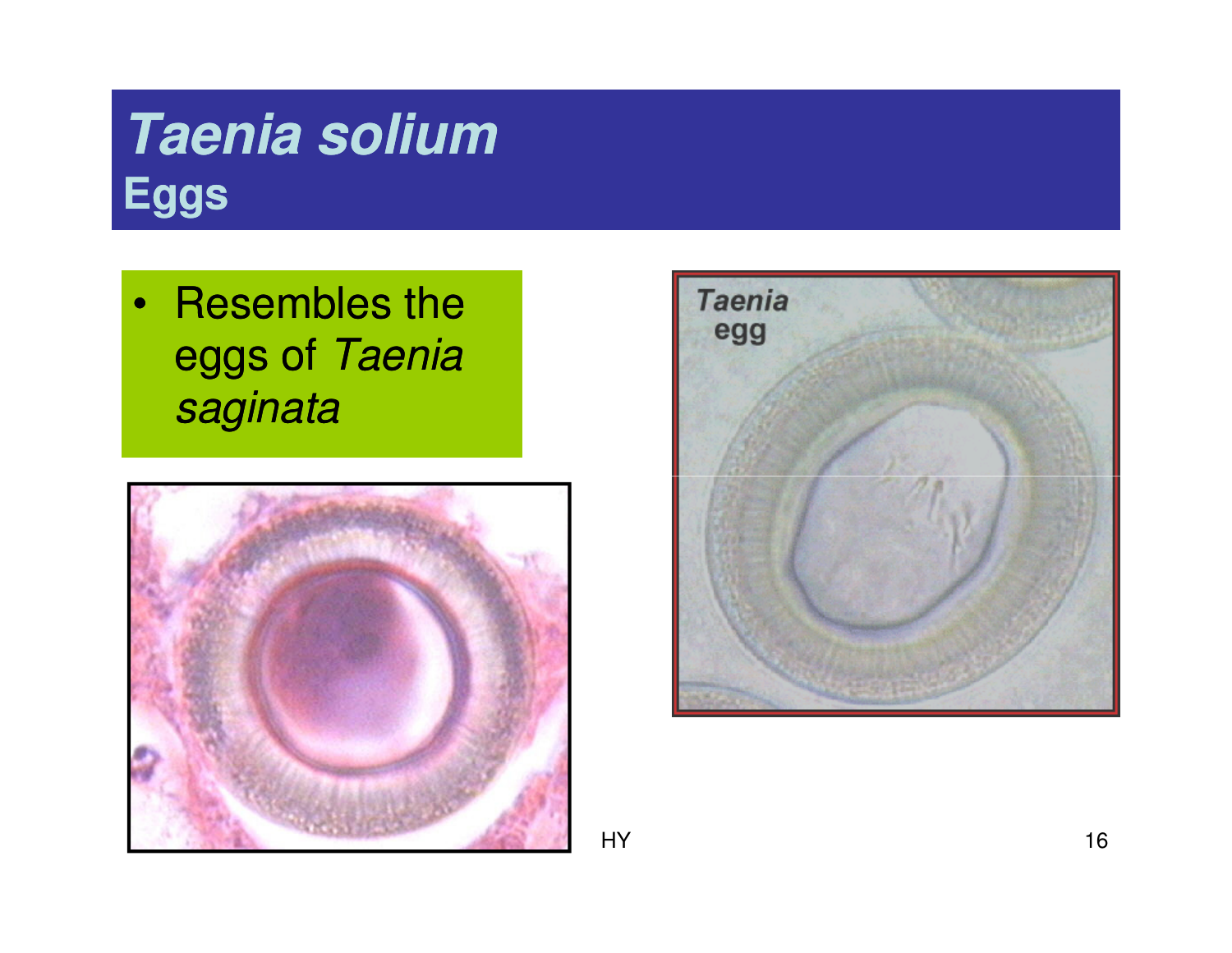## **Taenia soliumEggs**

• Resembles the eggs of Taenia saginata





HY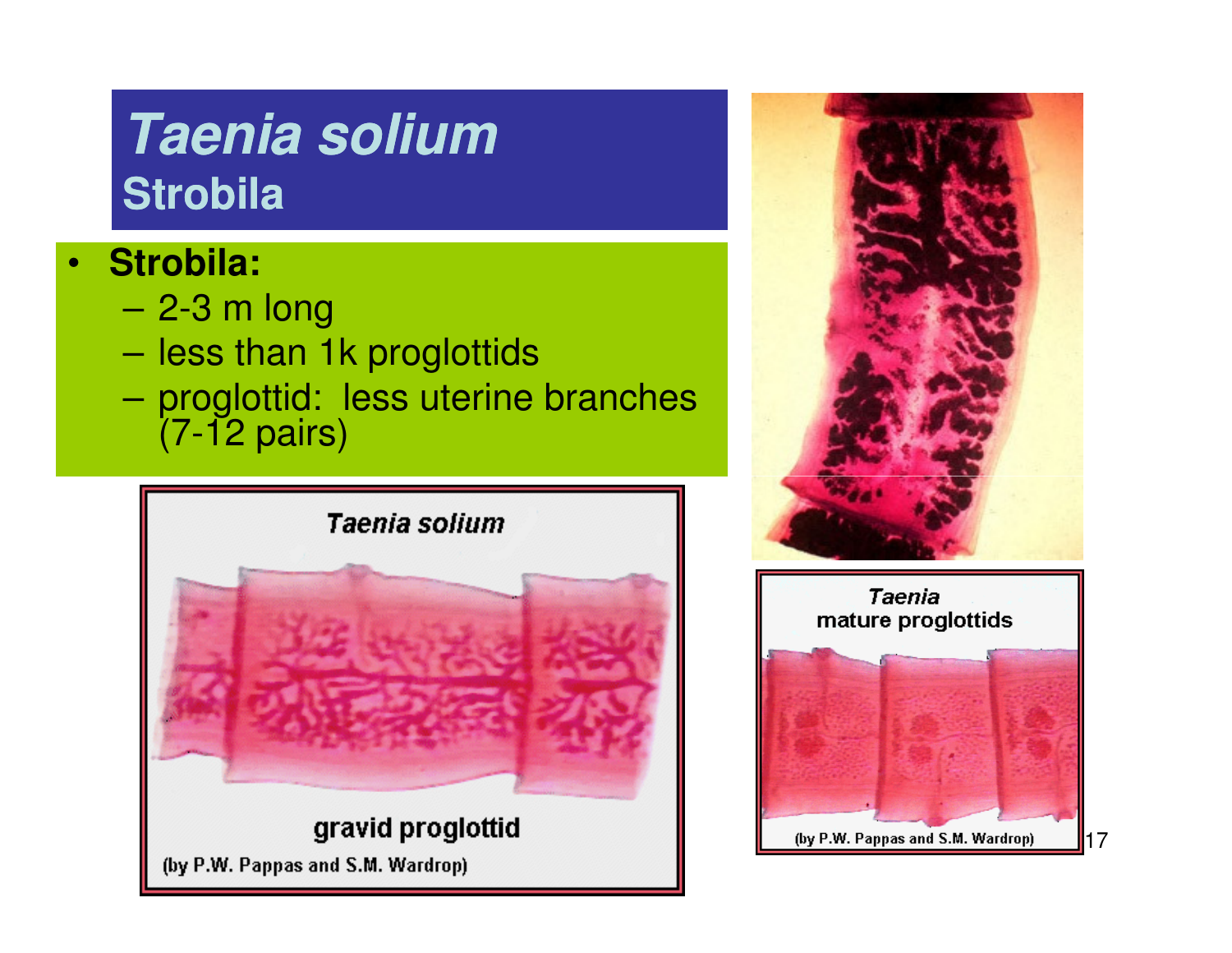## **Taenia soliumStrobila**

#### •**Strobila:**

- –2-3 m long
- $-$  lace than  $\overline{\phantom{a}}$ less than 1k proglottids
- – proglottid: less uterine branches (7-12 pairs)



(by P.W. Pappas and S.M. Wardrop)



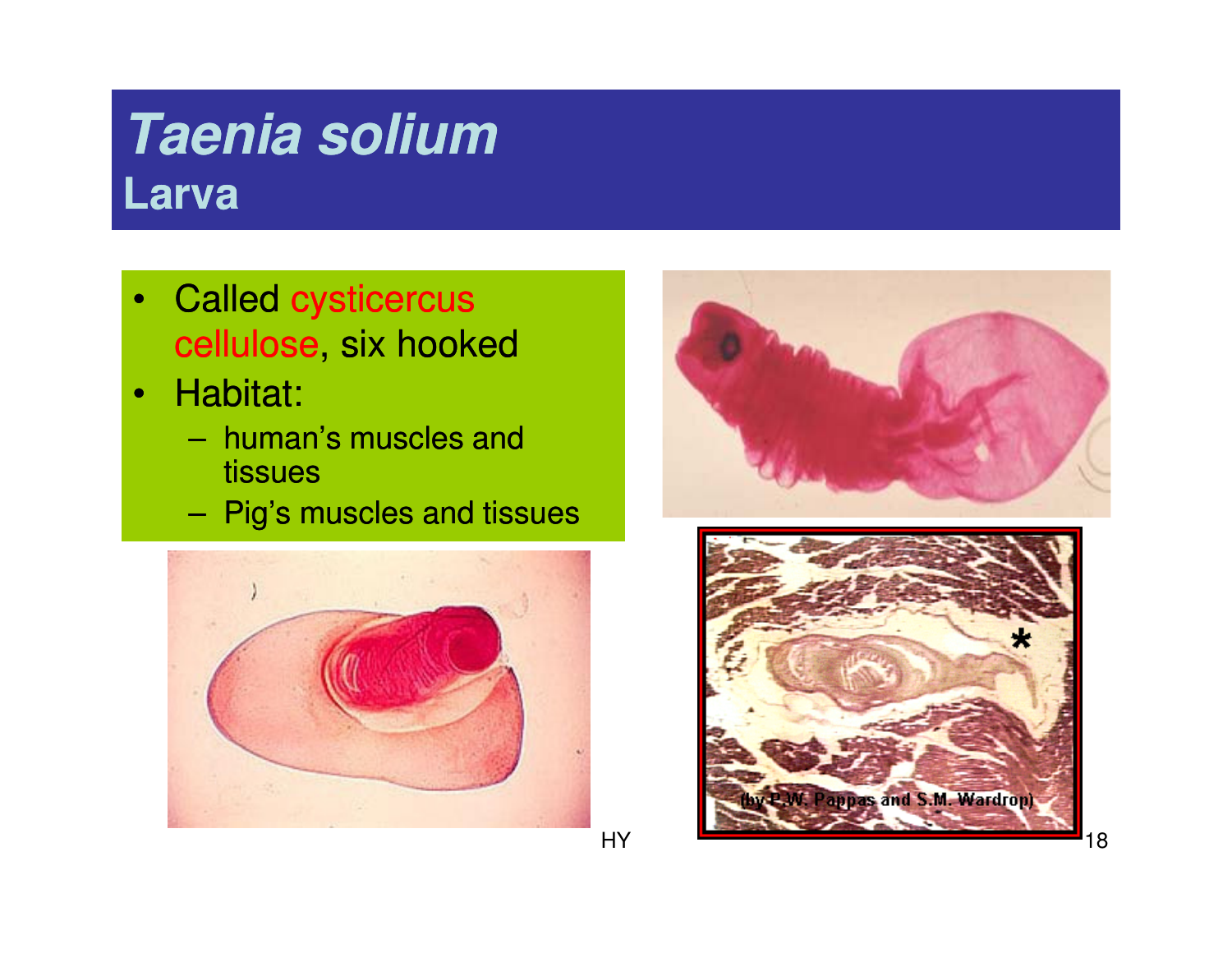## **Taenia soliumLarva**

- • Called cysticercuscellulose, six hooked
- • Habitat:
	- – human's muscles and tissues
	- –Pig's muscles and tissues





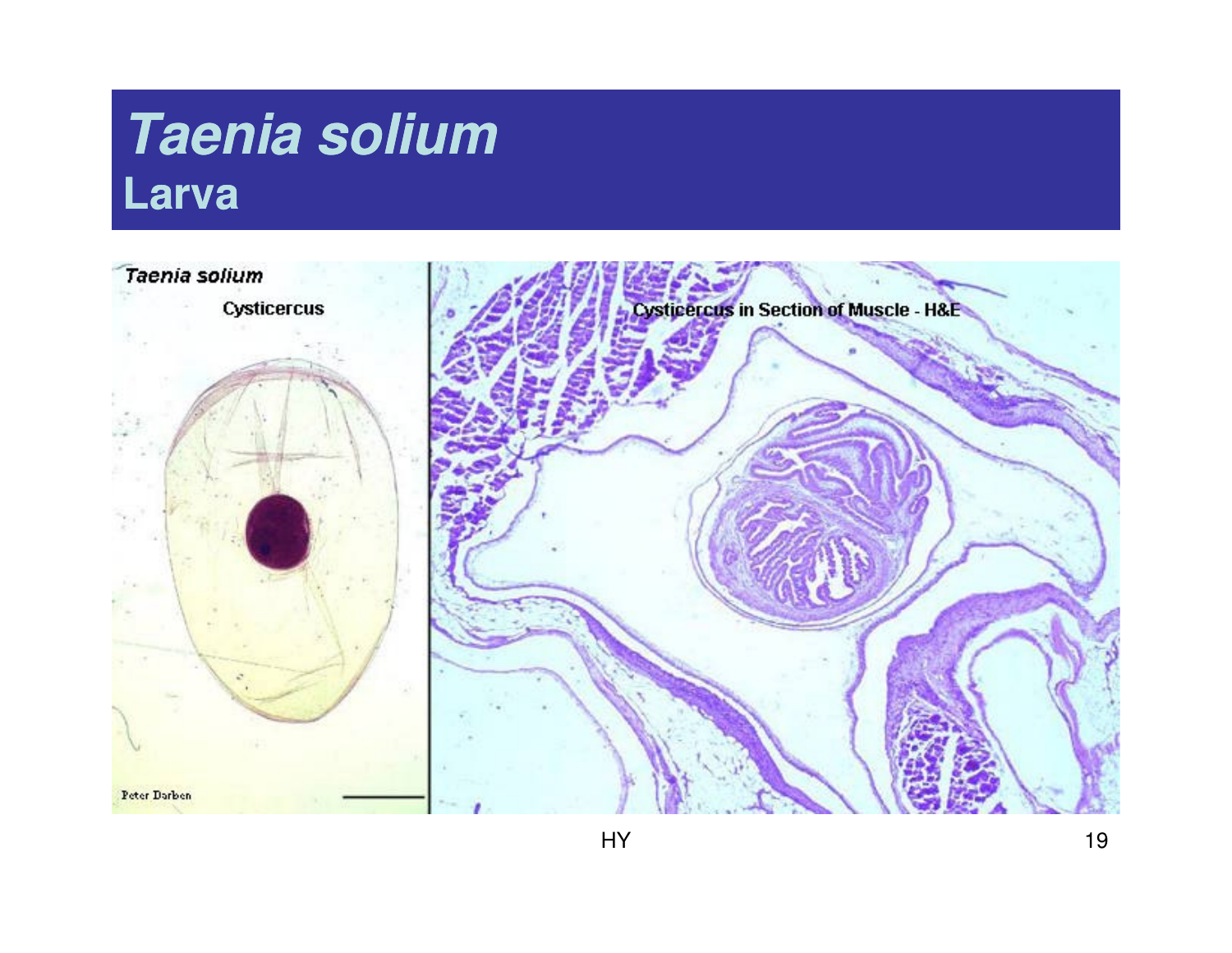### **Taenia soliumLarva**

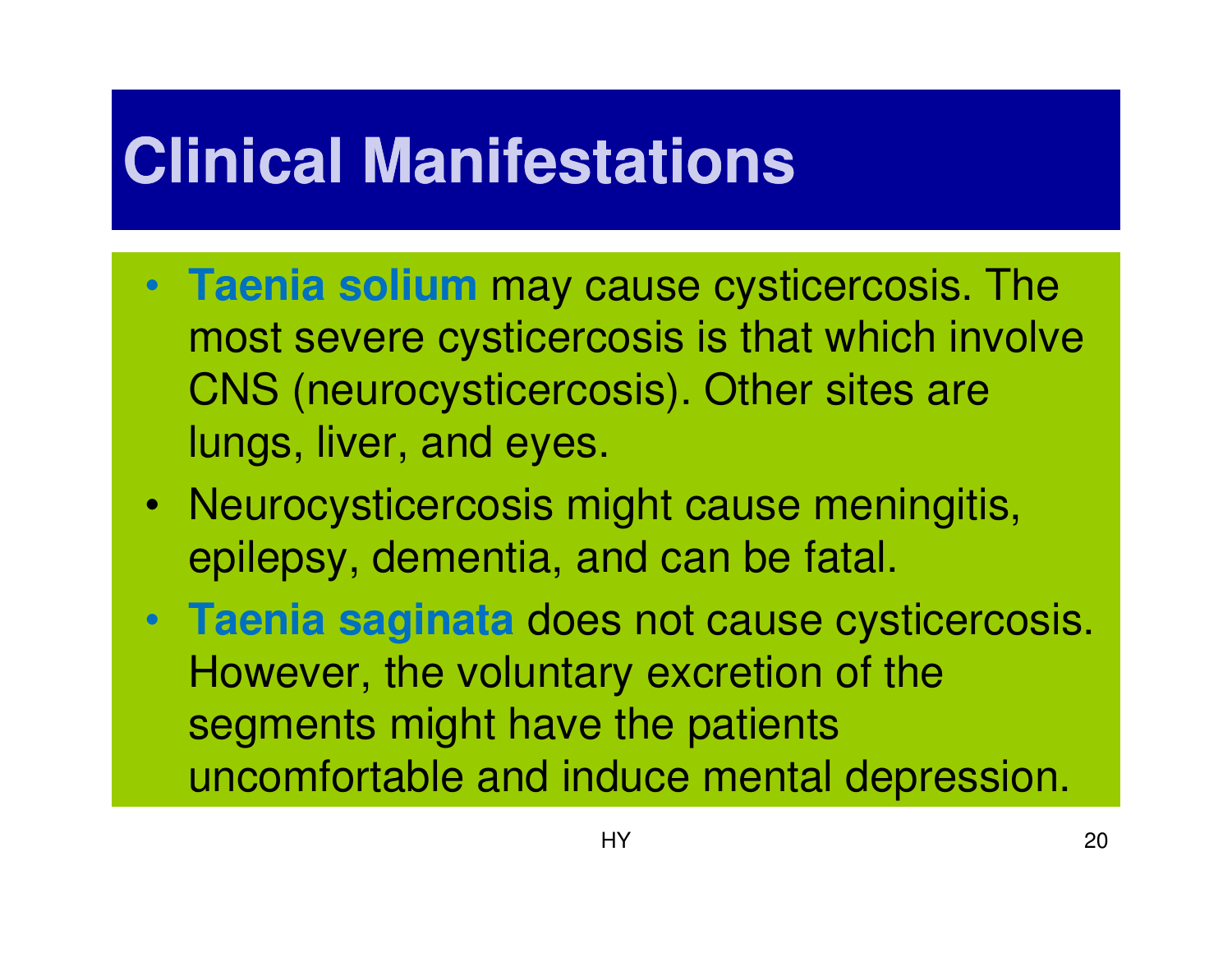# **Clinical Manifestations**

- **Taenia solium** may cause cysticercosis. The most severe cysticercosis is that which involve CNS (neurocysticercosis). Other sites are lungs, liver, and eyes.
- Neurocysticercosis might cause meningitis, epilepsy, dementia, and can be fatal.
- **Taenia saginata** does not cause cysticercosis. However, the voluntary excretion of the segments might have the patients uncomfortable and induce mental depression.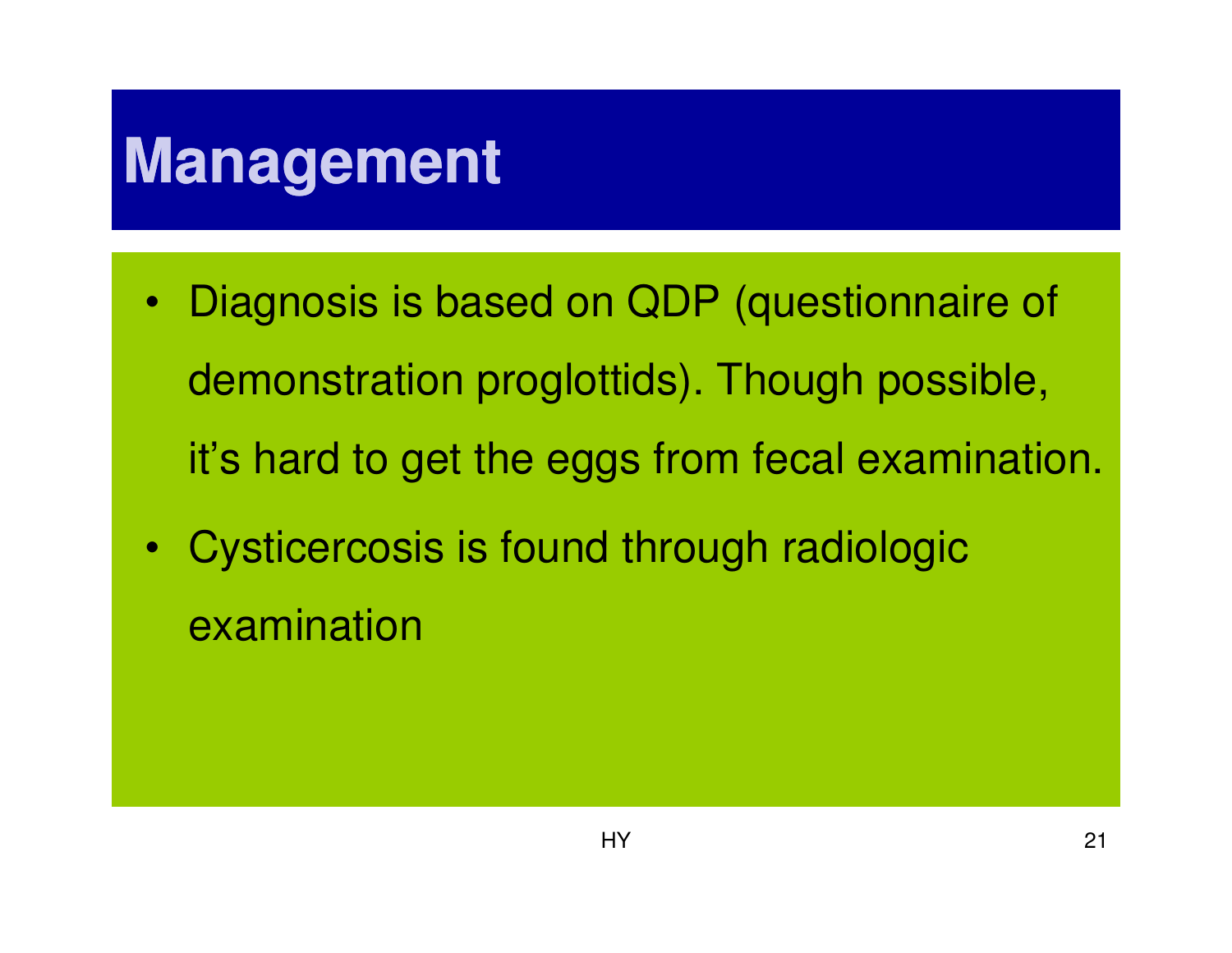# **Management**

- $\bullet$  Diagnosis is based on QDP (questionnaire of demonstration proglottids). Though possible, it's hard to get the eggs from fecal examination.
- Cysticercosis is found through radiologic examination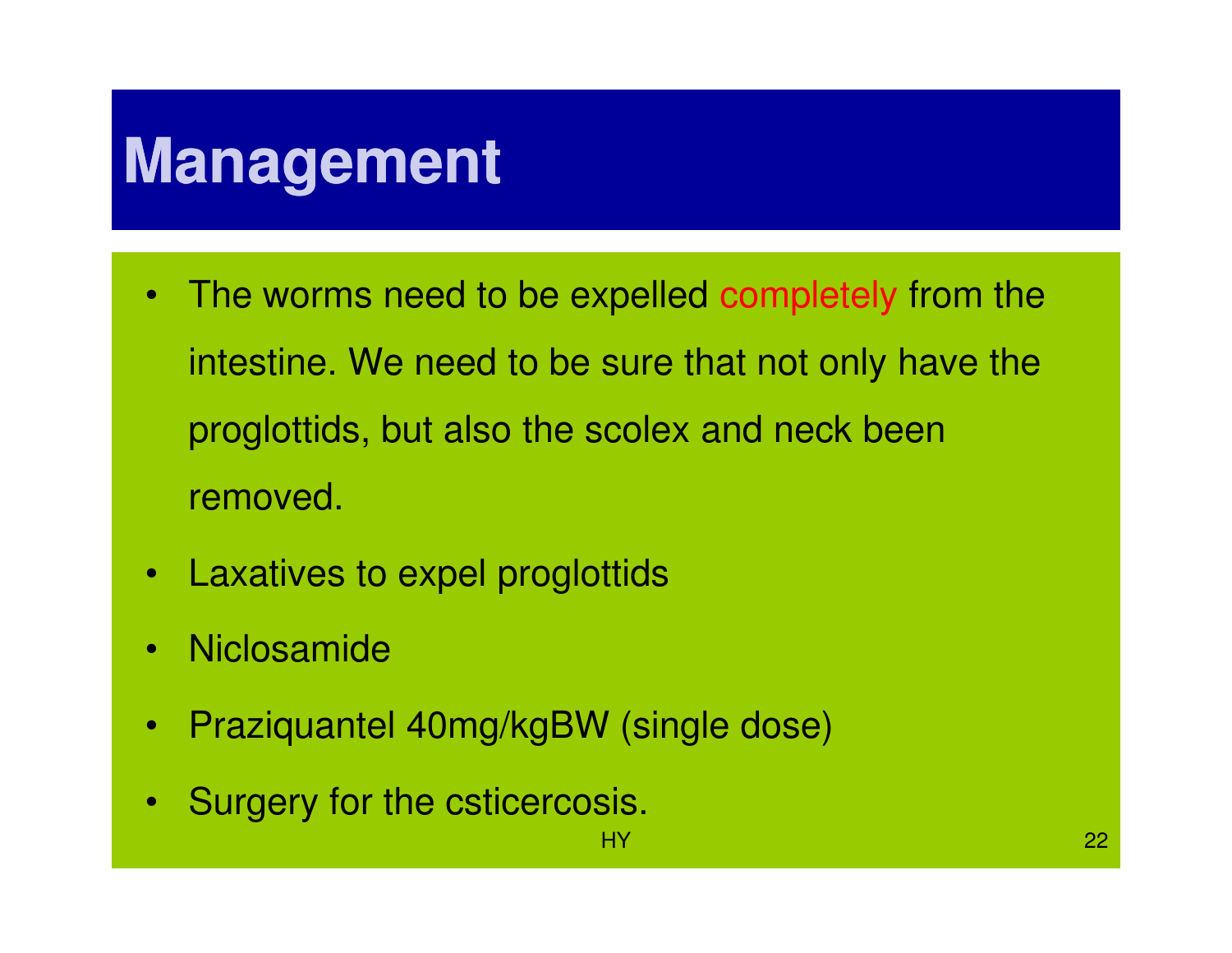# **Management**

- The worms need to be expelled completely from the intestine. We need to be sure that not only have the proglottids, but also the scolex and neck been removed.
- Laxatives to expel proglottids
- •Niclosamide
- $\bullet$ Praziquantel 40mg/kgBW (single dose)
- $\bullet$ Surgery for the csticercosis.